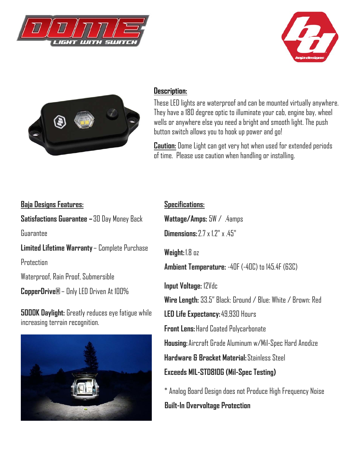





## **Description:**

These LED lights are waterproof and can be mounted virtually anywhere. They have a 180 degree optic to illuminate your cab, engine bay, wheel wells or anywhere else you need a bright and smooth light. The push button switch allows you to hook up power and go!

**Caution:** Dome Light can get very hot when used for extended periods of time. Please use caution when handling or installing.

## **Baja Designs Features:**

**Satisfactions Guarantee –** 30 Day Money Back

Guarantee

**Limited Lifetime Warranty** – Complete Purchase

**Protection** 

Waterproof, Rain Proof, Submersible

**CopperDrive®** – Only LED Driven At 100%

**5000K Daylight:** Greatly reduces eye fatigue while increasing terrain recognition.



**Specifications: Wattage/Amps:** 5W / .4amps **Dimensions:**  $2.7 \times 1.2$ "  $\times 45$ " **Weight:** 1.8 oz **Ambient Temperature:** -40F (-40C) to 145.4F (63C) **Input Voltage:** 12Vdc **Wire Length:** 33.5" Black: Ground / Blue: White / Brown: Red **LED Life Expectancy:** 49,930 Hours **Front Lens:** Hard Coated Polycarbonate **Housing:** Aircraft Grade Aluminum w/Mil-Spec Hard Anodize **Hardware & Bracket Material:** Stainless Steel **Exceeds MIL-STD810G (Mil-Spec Testing)** \* Analog Board Design does not Produce High Frequency Noise

## **Built-In Overvoltage Protection**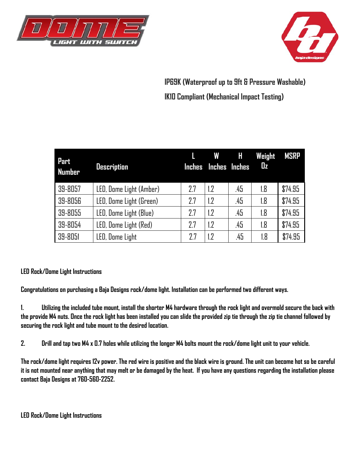



**IP69K (Waterproof up to 9ft & Pressure Washable) IK10 Compliant (Mechanical Impact Testing)** 

| Part<br><b>Number</b> | <b>Description</b>      |     | <b>W</b><br>Inches Inches Inches | Н   | Weight<br>$\mathbf{u}$ | <b>MSRP</b> |
|-----------------------|-------------------------|-----|----------------------------------|-----|------------------------|-------------|
| 39-8057               | LED, Dome Light (Amber) | 2.7 | 1.2                              | .45 | 1.8                    | \$74.95     |
| 39-8056               | LED, Dome Light (Green) | 2.7 | 1.2                              | .45 | 1.8                    | \$74.95     |
| 39-8055               | LED, Dome Light (Blue)  | 7.7 | 1.2                              | .45 | 1.8                    | \$74.95     |
| 39-8054               | LED, Dome Light (Red)   | 77  | 1.2                              | .45 | 1.8                    | \$74.95     |
| 39-8051               | LED, Dome Light         | 77  | 1.2                              | .45 | 1.8                    | \$74.95     |

## **LED Rock/Dome Light Instructions**

**Congratulations on purchasing a Baja Designs rock/dome light. Installation can be performed two different ways.** 

**1. Utilizing the included tube mount, install the shorter M4 hardware through the rock light and overmold secure the back with the provide M4 nuts. Once the rock light has been installed you can slide the provided zip tie through the zip tie channel followed by securing the rock light and tube mount to the desired location.** 

**2. Drill and tap two M4 x 0.7 holes while utilizing the longer M4 bolts mount the rock/dome light unit to your vehicle.** 

**The rock/dome light requires 12v power. The red wire is positive and the black wire is ground. The unit can become hot so be careful it is not mounted near anything that may melt or be damaged by the heat. If you have any questions regarding the installation please contact Baja Designs at 760-560-2252.**